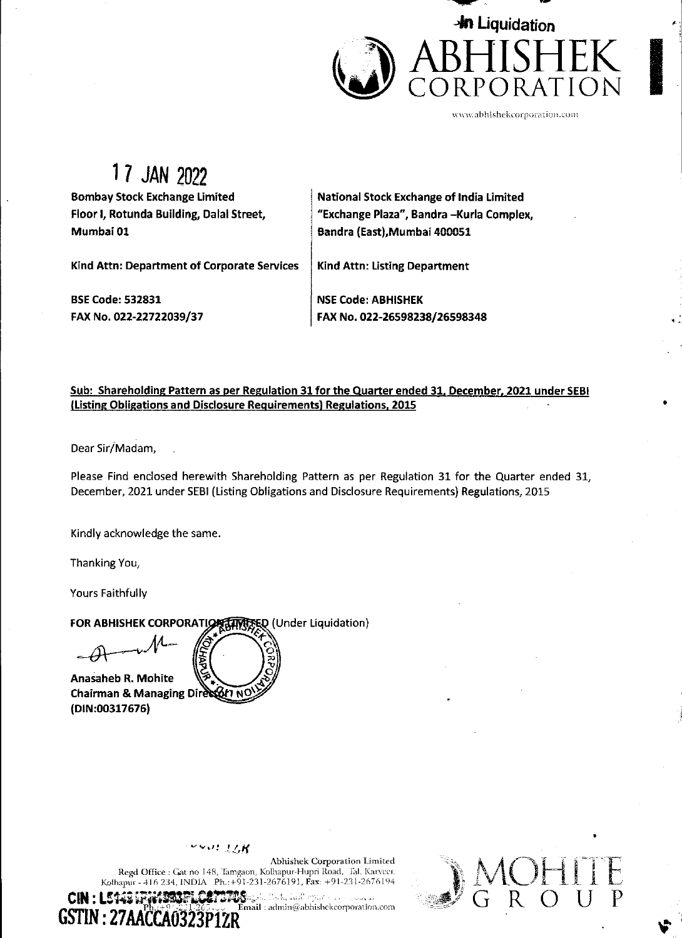

www.abhishekcorporation.com

## 17 JAN 2022

**Bombay Stock Exchange Limited** Floor I, Rotunda Building, Dalal Street, Mumbai 01

National Stock Exchange of India Limited "Exchange Plaza", Bandra -Kurla Complex, Bandra (East), Mumbai 400051

**Kind Attn: Department of Corporate Services** 

**BSE Code: 532831** FAX No. 022-22722039/37 Kind Attn: Listing Department

**NSE Code: ABHISHEK** FAX No. 022-26598238/26598348

## Sub: Shareholding Pattern as per Regulation 31 for the Quarter ended 31, December, 2021 under SEBI (Listing Obligations and Disclosure Requirements) Regulations, 2015

Dear Sir/Madam,

Please Find enclosed herewith Shareholding Pattern as per Regulation 31 for the Quarter ended 31. December, 2021 under SEBI (Listing Obligations and Disclosure Requirements) Regulations, 2015

Kindly acknowledge the same.

Thanking You,

Yours Faithfully

FOR ABHISHEK CORPORATION TIRED (Under Liquidation)

**Anasaheb R. Mohite** Chairman & Managing Director NC (DIN:00317676)



Abhishek Corporation Limited Regd Office : Gat no 148, Tamgaon, Kolhapur-Hupri Road, Tal. Karveer. Kolhapur - 416 234, INDIA Ph.: +91-231-2676191, Fax: +91-231-2676194

la Park, kuil oparto aa sossea, k **CIN : L5** PETOS ...  $\widetilde{\mathbf{E}}$ mail : admin@abhishekcorporation.com GSTIN: 27AACCA0323

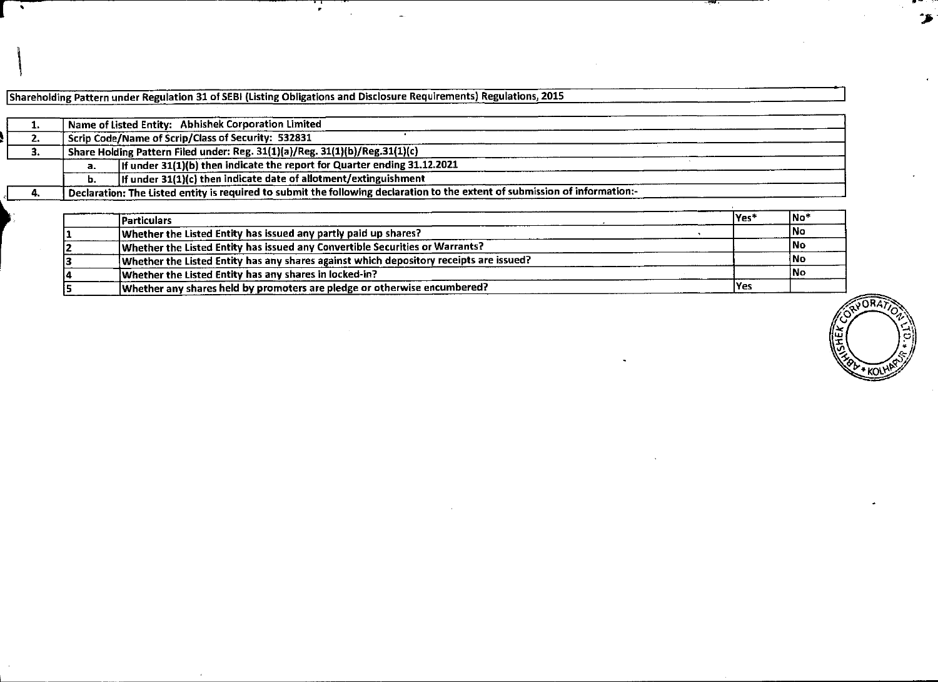| $\sim$                                             |                         |                                                                                                                                                                                                                                                                                                                                                 | $\mathbf{r}$ . |  |  |        |                                  | $\bullet$              |
|----------------------------------------------------|-------------------------|-------------------------------------------------------------------------------------------------------------------------------------------------------------------------------------------------------------------------------------------------------------------------------------------------------------------------------------------------|----------------|--|--|--------|----------------------------------|------------------------|
|                                                    |                         | Shareholding Pattern under Regulation 31 of SEBI (Listing Obligations and Disclosure Requirements) Regulations, 2015                                                                                                                                                                                                                            |                |  |  |        |                                  |                        |
| 1.<br>$\overline{2.}$<br>$\overline{\mathbf{3}}$ . | a <sub>1</sub><br>b.    | Name of Listed Entity: Abhishek Corporation Limited<br><b>Scrip Code/Name of Scrip/Class of Security: 532831</b><br>Share Holding Pattern Filed under: Reg. 31(1)(a)/Reg. 31(1)(b)/Reg.31(1)(c)<br>If under 31(1)(b) then indicate the report for Quarter ending 31.12.2021<br>If under 31(1)(c) then indicate date of allotment/extinguishment |                |  |  |        |                                  |                        |
| 4.                                                 | <b>Particulars</b><br>2 | Declaration: The Listed entity is required to submit the following declaration to the extent of submission of information:-<br>Whether the Listed Entity has issued any partly paid up shares?<br>Whether the Listed Entity has issued any Convertible Securities or Warrants?                                                                  |                |  |  | $Yes*$ | $No^*$<br><b>No</b><br><b>No</b> |                        |
|                                                    | з<br>5                  | Whether the Listed Entity has any shares against which depository receipts are issued?<br>Whether the Listed Entity has any shares in locked-in?<br>Whether any shares held by promoters are pledge or otherwise encumbered?                                                                                                                    |                |  |  | Yes    | No<br>No                         | RYORAT                 |
|                                                    |                         |                                                                                                                                                                                                                                                                                                                                                 |                |  |  |        |                                  | رج<br>ا<br><b>AFIE</b> |
|                                                    |                         |                                                                                                                                                                                                                                                                                                                                                 |                |  |  |        |                                  |                        |
|                                                    |                         |                                                                                                                                                                                                                                                                                                                                                 |                |  |  |        |                                  |                        |
|                                                    |                         |                                                                                                                                                                                                                                                                                                                                                 |                |  |  |        |                                  |                        |
|                                                    |                         |                                                                                                                                                                                                                                                                                                                                                 |                |  |  |        |                                  |                        |

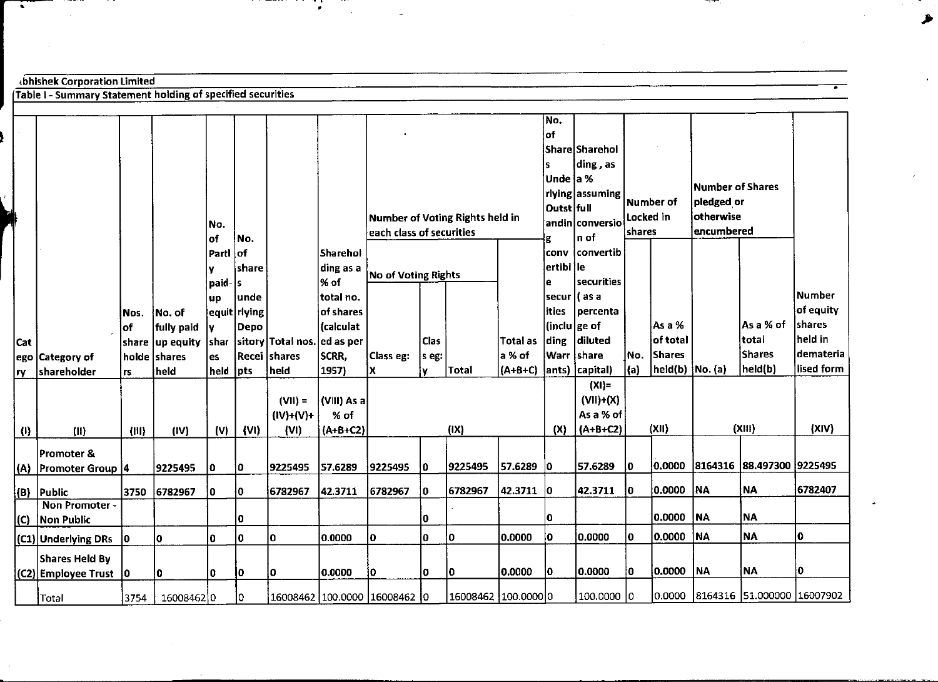|                                  |                                                                                                    |                                                                     |                              |                      |                                             | $\bullet$<br>$\sim$             |                                 |                      |             |                        |                                    |                                       |             |                                 |                         |                           |                                                                                                |
|----------------------------------|----------------------------------------------------------------------------------------------------|---------------------------------------------------------------------|------------------------------|----------------------|---------------------------------------------|---------------------------------|---------------------------------|----------------------|-------------|------------------------|------------------------------------|---------------------------------------|-------------|---------------------------------|-------------------------|---------------------------|------------------------------------------------------------------------------------------------|
|                                  |                                                                                                    |                                                                     |                              |                      |                                             |                                 |                                 |                      |             |                        |                                    |                                       |             |                                 |                         |                           |                                                                                                |
|                                  | Abhishek Corporation Limited<br><b>Table I - Summary Statement holding of specified securities</b> |                                                                     |                              |                      |                                             |                                 |                                 |                      |             |                        |                                    |                                       |             |                                 |                         |                           |                                                                                                |
|                                  |                                                                                                    |                                                                     |                              |                      |                                             |                                 |                                 |                      |             |                        | No.                                |                                       |             |                                 |                         |                           |                                                                                                |
|                                  |                                                                                                    |                                                                     |                              |                      |                                             |                                 |                                 |                      |             |                        | ∣of                                | Share Sharehol                        |             |                                 |                         |                           |                                                                                                |
|                                  |                                                                                                    |                                                                     |                              |                      |                                             |                                 |                                 |                      |             |                        | ls.<br>Unde a %                    | ding, as<br>rlying assuming           |             |                                 | <b>Number of Shares</b> |                           |                                                                                                |
|                                  |                                                                                                    |                                                                     | No.                          |                      |                                             |                                 | Number of Voting Rights held in |                      |             |                        | Outst full                         | $ \mathsf{andin} \mathsf{conversio} $ | Locked in   | Number of                       | pledged or<br>otherwise |                           |                                                                                                |
|                                  |                                                                                                    |                                                                     | of<br>l Partl                | No.<br>оf            |                                             | Sharehol                        | each class of securities        |                      |             |                        |                                    | $n$ of<br>conv convertib              | shares      |                                 | encumbered              |                           |                                                                                                |
|                                  |                                                                                                    |                                                                     | ly.<br>$ $ paid- $ s $<br>up | share<br>unde        |                                             | % of<br>total no.               | ding as a No of Voting Rights   |                      |             |                        | ertibl le<br>le.<br> secur  ( as a | securities                            |             |                                 |                         |                           |                                                                                                |
|                                  | Nos.<br>$ $ of                                                                                     | No. of<br>fully paid                                                | <u>ly</u>                    | equit rlying<br>Depo |                                             | of shares<br>(calculat          |                                 |                      |             |                        | ities<br>$ $ (inclu $ $ ge of      | percenta                              |             | Asa%                            |                         | As a % of                 |                                                                                                |
|                                  | ego Category of                                                                                    | $ {\sf share}\, {\sf up\,$ equity $ {\sf share}\, $<br>holde shares | es                           |                      | sitory Total nos. ed as per<br>Recei shares | SCRR,                           | Class eg:                       | <b>Clas</b><br>s eg: |             | Total as<br>a % of     | <b>Warr</b> share                  | ding diluted                          | No.         | of total<br><b>Shares</b>       |                         | total<br>Shares           |                                                                                                |
|                                  | shareholder<br><b>rs</b>                                                                           | held                                                                | held pts                     |                      | held                                        | 1957)                           | $\mathsf{\mathsf{x}}$           | IV.                  | Total       | (A+B+C) ants) capital) |                                    | $(XI)$ =                              | (a)         | $\vert$ held(b) $\vert$ No. (a) |                         | $ $ held(b)               |                                                                                                |
|                                  |                                                                                                    |                                                                     |                              |                      | $(VII) =$<br>$(IV)+(V)+$                    | $ VIII\rangle$ As a $ $<br>% of |                                 |                      |             |                        |                                    | $(VII)+(X)$<br>As a % of              |             |                                 |                         |                           |                                                                                                |
|                                  | (11)<br>(III)<br>Promoter &                                                                        | (IV)                                                                | (V)                          | $\{VI\}$             | (VI)                                        | $ $ (A+B+C2)                    |                                 |                      | (IX)        |                        | (X)                                | $(A+B+C2)$                            |             | (XII)                           |                         | (XIII)                    |                                                                                                |
|                                  | (A) Promoter Group 4                                                                               | 9225495                                                             | $ 0\rangle$                  | $ 0\rangle$          | 9225495                                     | 57.6289                         | 9225495                         | <b>O</b>             | 9225495     | 57.6289 0              |                                    | 57.6289                               | $ 0\rangle$ | 0.0000                          |                         | 8164316 88.497300 9225495 |                                                                                                |
|                                  | 3750<br>(B) Public<br>Non Promoter -                                                               | 6782967                                                             | 0                            | $ 0\rangle$          | 6782967                                     | 42.3711                         | 6782967                         | 10                   | 6782967     | 42.3711 0              |                                    | 42.3711                               | 10          | 0.0000                          | <b>NA</b>               | NA                        |                                                                                                |
|                                  | (C) Non Public<br>$ CD $ Underlying DRs $ 0 $                                                      | ۱٥.                                                                 | 0                            | <b>0</b><br><b>O</b> | ۱o.                                         | 0.0000                          | $ 0\rangle$                     | ١o<br>l٥             | 0           | 0.0000                 | 0<br>∣٥∣                           | 0.0000                                | lo.         | 0.0000 NA<br> 0.0000   NA       |                         | ∣NA<br>NA.                | $ 0\rangle$                                                                                    |
| Cat<br>$\left(\mathbf{0}\right)$ | Shares Held By <br>(C2) Employee Trust 0                                                           | 10                                                                  | 0                            | 10                   | Į٥.                                         | 0.0000                          | $ 0\rangle$                     | lo.                  | $ 0\rangle$ | 0.0000                 | 0                                  | 0.0000                                | 0           | 0.0000 NA                       |                         | NA                        | Number<br>of equity<br>shares<br>held in<br>demateria<br>lised form<br>(XIV)<br>6782407<br>١o. |

 $\sim$ 

 $\begin{picture}(20,20) \put(0,0){\line(1,0){10}} \put(15,0){\line(1,0){10}} \put(15,0){\line(1,0){10}} \put(15,0){\line(1,0){10}} \put(15,0){\line(1,0){10}} \put(15,0){\line(1,0){10}} \put(15,0){\line(1,0){10}} \put(15,0){\line(1,0){10}} \put(15,0){\line(1,0){10}} \put(15,0){\line(1,0){10}} \put(15,0){\line(1,0){10}} \put(15,0){\line(1$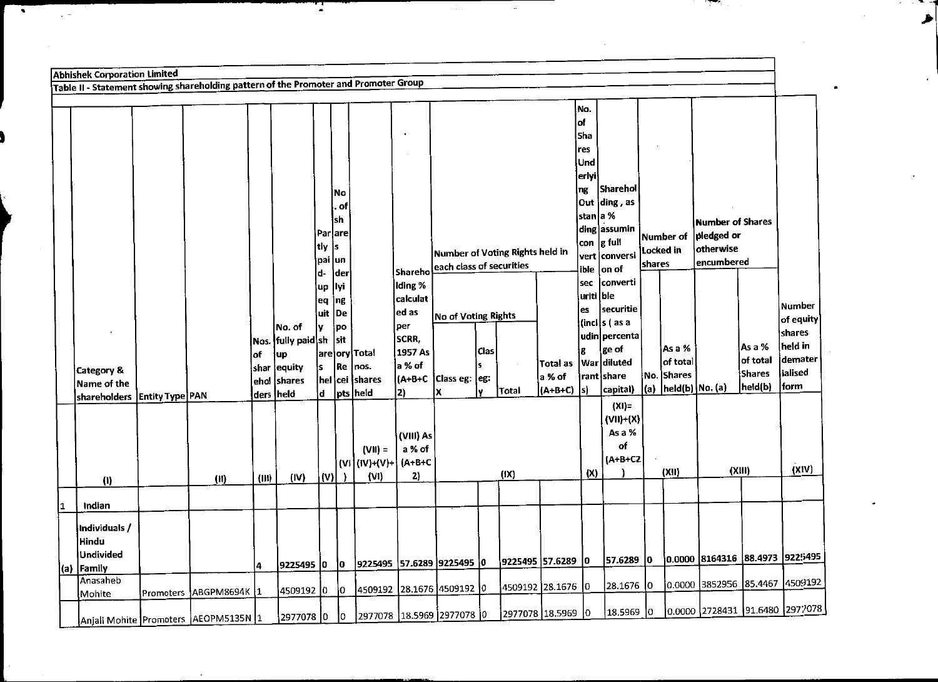|    | <b>Abhishek Corporation Limited</b>                                                  |           |                                                       |                             |                                        |                                   |                        |                                                     |                                       |                                                             |                         |                 |                                 |                                                           |                                                       |                     |                                                             |                                       |                                         |                                          |
|----|--------------------------------------------------------------------------------------|-----------|-------------------------------------------------------|-----------------------------|----------------------------------------|-----------------------------------|------------------------|-----------------------------------------------------|---------------------------------------|-------------------------------------------------------------|-------------------------|-----------------|---------------------------------|-----------------------------------------------------------|-------------------------------------------------------|---------------------|-------------------------------------------------------------|---------------------------------------|-----------------------------------------|------------------------------------------|
|    | Table II - Statement showing shareholding pattern of the Promoter and Promoter Group |           |                                                       |                             |                                        |                                   |                        |                                                     |                                       |                                                             |                         |                 |                                 |                                                           |                                                       |                     |                                                             |                                       |                                         |                                          |
|    |                                                                                      |           |                                                       |                             |                                        |                                   | No<br>. of<br>sh       |                                                     |                                       |                                                             |                         |                 |                                 | No.<br>of<br>Sha<br>res<br>Und<br>erlyi<br>ng<br>stan a % | <b>Sharehol</b><br>Out ding, as<br>ding assumin       |                     |                                                             | Number of Shares                      |                                         |                                          |
|    |                                                                                      |           |                                                       |                             |                                        | Parlare<br>tly<br>pai<br>d-<br>up | is<br>un<br>der<br>lyi |                                                     | Shareho<br>Iding %                    | Number of Voting Rights held in<br>each class of securities |                         |                 |                                 | con<br>vert<br>ible<br>sec                                | $ g$ full<br>conversi<br>on of<br>converti            | Locked in<br>shares | Number of                                                   | pledged or<br>otherwise<br>encumbered |                                         |                                          |
|    |                                                                                      |           |                                                       |                             | No. of<br>Nos. fully paid sh           | eq<br>luit                        | ng<br>De<br>po<br>sit  |                                                     | calculat<br>ed as<br>per<br>SCRR,     | No of Voting Rights                                         |                         |                 |                                 | uriti ble<br>es                                           | securitie<br>(incl s (as a<br>udin percenta           |                     |                                                             |                                       |                                         | Number<br>of equity<br>shares<br>held in |
|    | <b>Category &amp;</b><br>Name of the<br>shareholders   Entity Type PAN               |           |                                                       | of<br>shar<br> ehol<br>ders | up<br>equity<br>shares<br><b>Iheld</b> | ŀs<br>(d)                         | Re                     | are ory Total<br>nos.<br>hel cei shares<br>pts held | 1957 As<br>la % of<br>(A+B+C<br> 2)   | Class eg:<br>х                                              | <b>Clas</b><br>ś<br> eg | Total           | Total as<br>a % of<br>$(A+B+C)$ | Г<br>ls)                                                  | ge of<br>War diluted<br> rant  share<br>capital)      | (a)                 | As a %<br>of total<br>No. Shares<br>$ $ held(b) $ $ No. (a) |                                       | As a %<br>of total<br>Shares<br>held(b) | demater<br>ialised<br>form               |
|    |                                                                                      |           |                                                       |                             | (IV)                                   | (V)                               |                        | $(VII) =$<br> (VI (IV)+(V)+ <br>(VI)                | (VIII) As<br>a % of<br>$(A+B+C$<br>2) |                                                             |                         | (1X)            |                                 | (X)                                                       | $(XI)$ =<br>$(VII)+(X)$<br>As a %<br>of<br>$(A+B+CZ)$ |                     | (XII)                                                       | (XIII)                                |                                         | (XIV)                                    |
|    | (1)                                                                                  |           | (II)                                                  | (III)                       |                                        |                                   |                        |                                                     |                                       |                                                             |                         |                 |                                 |                                                           |                                                       |                     |                                                             |                                       |                                         |                                          |
| 11 | Indian                                                                               |           |                                                       |                             |                                        |                                   |                        |                                                     |                                       |                                                             |                         |                 |                                 |                                                           |                                                       |                     |                                                             |                                       |                                         |                                          |
|    | Individuals /<br>Hindu<br>Undivided<br>(a) Family                                    |           |                                                       | 14                          | 9225495                                | 10                                | 10.                    | 9225495                                             |                                       | 57.6289 9225495 0                                           |                         | 9225495 57.6289 |                                 | 10                                                        | 57.6289                                               | 10.                 |                                                             | 0.0000 8164316 88.4973 9225495        |                                         |                                          |
|    | Anasaheb                                                                             |           |                                                       |                             |                                        |                                   |                        |                                                     |                                       |                                                             |                         |                 | 4509192 28.1676                 | 10                                                        | 28.1676                                               | 0                   |                                                             | 0.0000 3852956 85.4467                |                                         | 4509192                                  |
|    | Mohite                                                                               | Promoters | ABGPM8694K  1<br>Anjali Mohite Promoters AEOPM5135N 1 |                             | 4509192 0<br>2977078 0                 |                                   | 10<br>10.              | 4509192                                             |                                       | 28.1676 4509192 0<br>2977078 18.5969 2977078 0              |                         |                 | 2977078 18.5969 0               |                                                           | 18.5969 0                                             |                     |                                                             | 0.0000 2728431 91.6480 2977078        |                                         |                                          |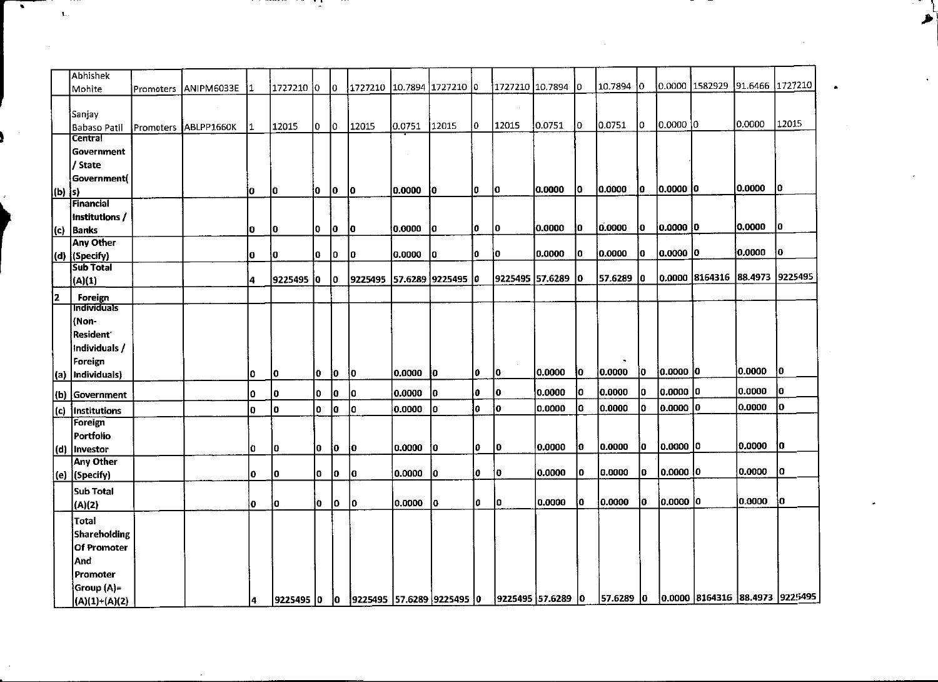| $\pmb{\mathsf{1}}$ . |                                                     |           |                      |           |             | $\sim$   |             |                              |                    |                           |             |                   |                   |                |                     |                    |                        |                                                                |                   |                                           |
|----------------------|-----------------------------------------------------|-----------|----------------------|-----------|-------------|----------|-------------|------------------------------|--------------------|---------------------------|-------------|-------------------|-------------------|----------------|---------------------|--------------------|------------------------|----------------------------------------------------------------|-------------------|-------------------------------------------|
|                      |                                                     |           |                      |           |             |          |             |                              |                    |                           |             |                   |                   |                |                     |                    |                        |                                                                |                   |                                           |
|                      | Abhishek<br>Mohite                                  | Promoters | ANIPM6033E           | 11        | 1727210 0   |          | $ 0\rangle$ | 1727210  10.7894  1727210  0 |                    |                           |             |                   | 1727210 10.7894   | I٥             | 10.7894 0           |                    |                        | 0.0000 1582929 91.6466 1727210                                 |                   |                                           |
|                      | Sanjay                                              |           | $\sim$               | 1         | 12015       | 0        | $ 0\rangle$ | 12015                        | 0.0751             | 12015                     | lo.         | $\alpha$<br>12015 | 0.0751            | I٥             | 0.0751              | Iо                 | 0.0000 0               |                                                                | 0.0000            |                                           |
|                      | Babaso Patil<br><b>Central</b><br>Government        |           | Promoters ABLPP1660K |           |             |          |             |                              | $\sim$             |                           |             |                   |                   |                |                     |                    |                        |                                                                |                   |                                           |
|                      | / State<br>Government(                              |           |                      | io.       | ۱o          | 10       | <b>0</b>    | $ 0\rangle$                  | 0.0000             | <b>lo</b>                 | I٥          | <b>O</b>          | 0.0000            | 10             | 0.0000              | ١o.                | 0.0000 0               |                                                                | 0.0000            |                                           |
|                      | $(b)$ s)<br>Financial<br>Institutions /             |           |                      |           |             |          |             |                              |                    |                           |             |                   |                   |                |                     |                    |                        |                                                                |                   |                                           |
|                      | $ c\rangle$   Banks<br><b>Any Other</b>             |           |                      | 10<br>lo. | lo.<br> 0   | I٥<br>Į0 | O           | ١o<br> o                     | 0.0000 0<br>0.0000 | <b>lo</b>                 | Į0.<br>١O.  | Iо<br>ĮО          | 0.0000<br>0.0000  | ļ0.<br>10.     | 0.0000<br>0.0000    | lo.<br>$ 0\rangle$ | 0.0000 0<br> 0.0000 0  |                                                                | 0.0000<br> 0.0000 |                                           |
|                      | $ d\rangle$ (Specify)<br><b>Sub Total</b><br>(A)(1) |           |                      | 14        | 9225495 0   |          | ۱o.<br>10.  |                              |                    | 9225495 57.6289 9225495 0 |             |                   | 9225495 57.6289   | 10             | 57.6289 0           |                    |                        | 0.0000 8164316 88.4973 9225495                                 |                   | 12015<br><b>lo</b>                        |
| 2                    | <b>Foreign</b><br><b>Individuals</b>                |           |                      |           |             |          |             |                              |                    |                           |             |                   |                   |                |                     |                    |                        |                                                                |                   |                                           |
|                      | (Non-<br>Resident<br>Individuals /                  |           |                      |           |             |          |             |                              |                    |                           |             |                   |                   |                |                     |                    |                        |                                                                |                   |                                           |
|                      | Foreign<br>(a)  Individuals)                        |           |                      | O         | $ 0\rangle$ | 0        | 0           |                              | 0.0000 0           |                           | $ 0\rangle$ | 10                | 0.0000            | <b>Jo</b>      | $\bullet$<br>0.0000 | $ 0\rangle$        | 0.0000 0               |                                                                | 0.0000            |                                           |
|                      | (b) Government                                      |           |                      | O.        | 10<br>lo.   | I٥<br>۱٥ | lo.         | $ 0\rangle$<br>$ 0\rangle$   | 0.0000 <br>0.0000  | 0<br>$ 0\rangle$          | ١o.<br>10   | 10<br>ţо          | 0.0000<br>0.0000  | 10<br><b>O</b> | 0.0000<br>0.0000    | 10<br>$ 0\rangle$  | 0,0000 0<br> 0.0000  0 |                                                                | 0.0000<br>0.0000  | $ 0\rangle$<br>$ 0\rangle$<br>$ 0\rangle$ |
|                      | $(c)$  Institutions<br>Foreign<br>Portfolio         |           |                      | O.        |             |          | $ 0\rangle$ |                              |                    |                           |             |                   |                   |                |                     |                    |                        |                                                                |                   |                                           |
|                      | (d) Investor<br>Any Other                           |           |                      | lo.       | $ 0\rangle$ | 10       | $ 0\rangle$ | $ 0\rangle$                  | 0.0000             | 0                         | o           | $ 0\rangle$       | 0.0000            | $ 0\rangle$    | 0.0000              | łО                 | 0.0000 0               |                                                                | 0.0000            |                                           |
|                      | $(e)$ (Specify)<br>Sub Total                        |           |                      | O.        | 10          | 0        | 0           | 10                           | 0.0000             | 10                        | ļ0.         | $ 0\rangle$       | 0.0000            | <b>0</b>       | 0.0000              | <b>O</b>           | 0.0000 0               |                                                                | 0.0000            |                                           |
|                      | (A)(2)<br>$ $ Total                                 |           |                      | ١o        | 10          | jo.      | 0           | <b>O</b>                     | 0.0000             | ١o                        | 10 I        | $ 0\rangle$       | 0.0000            | ∤o             | 0.0000              | jо.                | 0.0000 0               |                                                                | 0.0000            |                                           |
|                      | Shareholding<br>Of Promoter                         |           |                      |           |             |          |             |                              |                    |                           |             |                   |                   |                |                     |                    |                        |                                                                |                   |                                           |
|                      | And<br>Promoter<br>Group (A)=                       |           |                      |           |             |          |             |                              |                    |                           |             |                   | 9225495 57.6289 0 |                | 57.6289 0           |                    |                        | $\vert 0.0000 \vert 8164316 \vert 88.4973 \vert 9225495 \vert$ |                   | $ 0\rangle$<br> 0                         |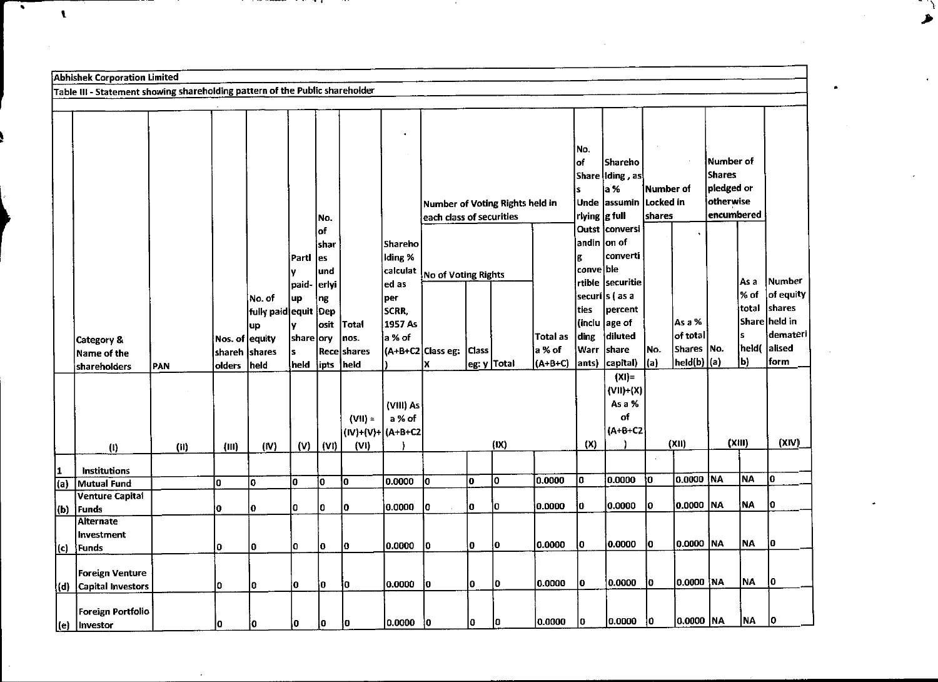|     | <b>Abhishek Corporation Limited</b>                                          |      |                |                      |            |                |                    |                   |                                 |       |             |                 |                |                   |                      |                     |               |           |               |
|-----|------------------------------------------------------------------------------|------|----------------|----------------------|------------|----------------|--------------------|-------------------|---------------------------------|-------|-------------|-----------------|----------------|-------------------|----------------------|---------------------|---------------|-----------|---------------|
|     | Table III - Statement showing shareholding pattern of the Public shareholder |      |                |                      |            |                |                    |                   |                                 |       |             |                 |                |                   |                      |                     |               |           |               |
|     |                                                                              |      |                |                      |            |                |                    |                   |                                 |       |             |                 |                |                   |                      |                     |               |           |               |
|     |                                                                              |      |                |                      |            |                |                    |                   |                                 |       |             |                 |                |                   |                      |                     |               |           |               |
|     |                                                                              |      |                |                      |            |                |                    |                   |                                 |       |             |                 |                |                   |                      |                     |               |           |               |
|     |                                                                              |      |                |                      |            |                |                    |                   |                                 |       |             |                 | No.            |                   |                      |                     |               |           |               |
|     |                                                                              |      |                |                      |            |                |                    |                   |                                 |       |             |                 | lof.           | Shareho           |                      |                     | Number of     |           |               |
|     |                                                                              |      |                |                      |            |                |                    |                   |                                 |       |             |                 |                | Share  Iding , as |                      |                     | <b>Shares</b> |           |               |
|     |                                                                              |      |                |                      |            |                |                    |                   |                                 |       |             |                 | İs             | a %               | lNumber of           |                     | pledged or    |           |               |
|     |                                                                              |      |                |                      |            |                |                    |                   | Number of Voting Rights held in |       |             |                 |                | Unde lassumin     | Locked in            |                     | otherwise     |           |               |
|     |                                                                              |      |                |                      |            | No.            |                    |                   | each class of securities        |       |             |                 | rlying  g full |                   | shares               |                     | encumbered    |           |               |
|     |                                                                              |      |                |                      |            | of             |                    |                   |                                 |       |             |                 |                | Outst iconversi   |                      |                     |               |           |               |
|     |                                                                              |      |                |                      |            | shar           |                    | <b>Shareho</b>    |                                 |       |             |                 | andin          | on of<br>converti |                      |                     |               |           |               |
|     |                                                                              |      |                |                      | Partl      | les            |                    | Iding %           |                                 |       |             |                 | g<br>conve ble |                   |                      |                     |               |           |               |
|     |                                                                              |      |                |                      | ٧<br>paid- | lund<br> erlyi |                    | calculat<br>ed as | No of Voting Rights             |       |             |                 |                | rtible  securitie |                      |                     |               | As a      | Number        |
|     |                                                                              |      |                | No. of               | up         | ng             |                    | per               |                                 |       |             |                 |                | securi s (as a    |                      |                     |               | ∣% of     | of equity     |
|     |                                                                              |      |                | fully paid equit Dep |            |                |                    | SCRR,             |                                 |       |             |                 | ties           | percent           |                      |                     |               | total     | shares        |
|     |                                                                              |      |                | up                   |            | osit           | <b>Total</b>       | 1957 As           |                                 |       |             |                 | (inclu         | age of            |                      | As a %              |               |           | Share held in |
|     | Category &                                                                   |      | Nos. of equity |                      | share ory  |                | nos.               | a % of            |                                 |       |             | <b>Total as</b> | ding           | diluted           |                      | of total            |               | s         | demateri      |
|     | Name of the                                                                  |      | shareh         | shares               | ls         |                | <b>Recelshares</b> |                   | (A+B+C2 Class eg:               | Class |             | a % of          | Warr           | share             | No.                  | Shares   No.        |               | held(     | alised        |
|     | shareholders                                                                 | PAN  | olders         | heid                 | held       | ipts           | held               |                   | lχ                              |       | eg: y Total | $(A+B+C)$       | ants)          | capital)          | (a)                  | $ $ held(b) $ $ (a) |               | ∫Ы        | form          |
|     |                                                                              |      |                |                      |            |                |                    |                   |                                 |       |             |                 |                | $(XI)$ =          |                      |                     |               |           |               |
|     |                                                                              |      |                |                      |            |                |                    |                   |                                 |       |             |                 |                | $(VII)+(X)$       |                      |                     |               |           |               |
|     |                                                                              |      |                |                      |            |                |                    | (VIII) As         |                                 |       |             |                 |                | As a %            |                      |                     |               |           |               |
|     |                                                                              |      |                |                      |            |                | $(VII) =$          | a % of            |                                 |       |             |                 |                | of                |                      |                     |               |           |               |
|     |                                                                              |      |                |                      |            |                | (IV)+(V)+ (A+B+C2  |                   |                                 |       |             |                 |                | $(A+B+CZ)$        |                      |                     |               |           |               |
|     | (1)                                                                          | (11) | (III)          | (IV)                 | (V)        | (VI)           | (VI)               |                   |                                 |       | (IX)        |                 | (X)            |                   |                      | (XII)               |               | (XIII)    | (XIV)         |
| 1   | <b>Institutions</b>                                                          |      |                |                      |            |                |                    |                   |                                 |       |             |                 |                |                   | $\ddot{\phantom{a}}$ |                     |               |           |               |
| (a) | Mutual Fund                                                                  |      | 0              | 0                    | 0          | O              | O                  | 0.0000            | lo.                             | o     | O           | 0.0000          | I٥             | 0.0000            | IO.                  | 0.0000              | NA            | <b>NA</b> | l0            |
|     | <b>Venture Capital</b>                                                       |      |                |                      |            |                |                    |                   |                                 |       |             |                 |                |                   |                      |                     |               |           |               |
| (b) | i Funds                                                                      |      | O              | ١o                   | o          | 10             | I٥                 | 0.0000            | I٥                              | l٥    | O           | 0.0000          | O              | 0.0000            | l0.                  | 0.0000   NA         |               | <b>NA</b> | lo            |
|     | <b>Alternate</b>                                                             |      |                |                      |            |                |                    |                   |                                 |       |             |                 |                |                   |                      |                     |               |           |               |
|     | <b>Investment</b>                                                            |      |                |                      |            |                |                    |                   |                                 |       |             | 0.0000          | l0.            | 0.0000            | l٥                   | 0.0000  NA          |               | <b>NA</b> | l0            |
| (c) | Funds                                                                        |      | O              | I٥                   | I٥         | 0              | I٥                 | 0.0000            | I٥                              | ١o    | ŀО          |                 |                |                   |                      |                     |               |           |               |
|     | <b>Foreign Venture</b>                                                       |      |                |                      |            |                |                    |                   |                                 |       |             |                 |                |                   |                      |                     |               |           |               |
| (d) | <b>Capital Investors</b>                                                     |      | O              | 10                   | Ι0         | 0              | ١o                 | 10.0000           | i0                              | l٥    | ۱o          | 0.0000          | I٥             | 0.0000            | 10                   | 0.0000 NA           |               | NA        | 10            |
|     |                                                                              |      |                |                      |            |                |                    |                   |                                 |       |             |                 |                |                   |                      |                     |               |           |               |
|     | Foreign Portfolio                                                            |      |                |                      |            |                |                    |                   |                                 |       |             |                 |                |                   |                      |                     |               |           |               |
|     | l (e) lInvestor                                                              |      | I٥             | l0                   | I٥         | Į0             | ł0.                | 0.0000            | łО                              | 10    | 10          | 0.0000          | I٥             | 0.0000            | I٥                   | 0.0000 NA           |               | NA        | 10            |

. .

 $\bullet$ 

 $\mathbf{I}$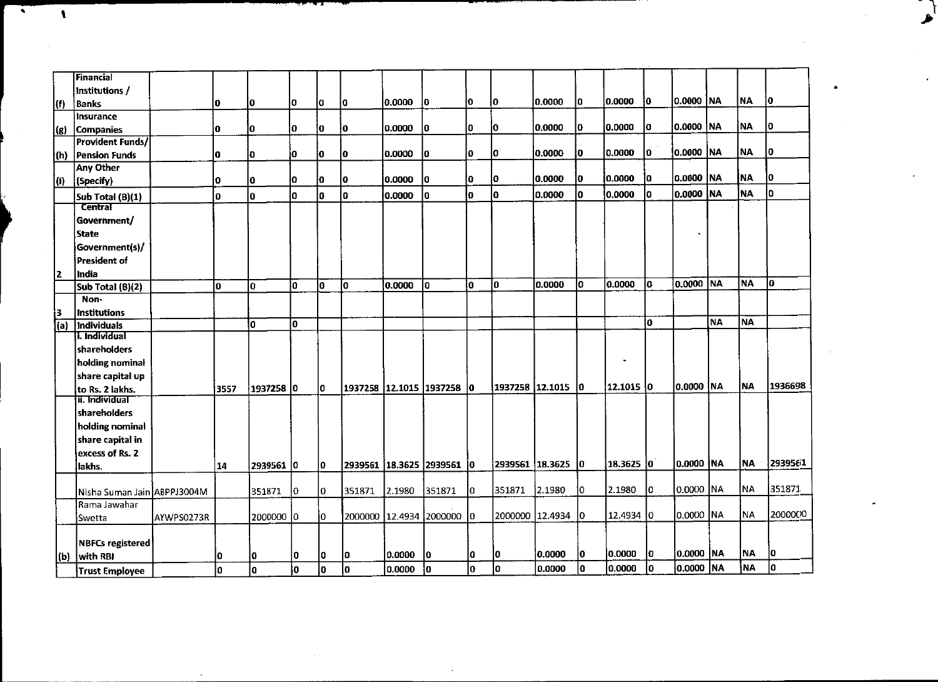|              |                                                                  |            |         | المتحقق                   | ᅮ           | - 1      |          |                  |                                          |             |               |                             |             |                     |                |                          |    |           |                                               |
|--------------|------------------------------------------------------------------|------------|---------|---------------------------|-------------|----------|----------|------------------|------------------------------------------|-------------|---------------|-----------------------------|-------------|---------------------|----------------|--------------------------|----|-----------|-----------------------------------------------|
| $\mathbf{I}$ |                                                                  |            |         |                           |             |          |          |                  |                                          |             |               |                             |             |                     |                |                          |    |           |                                               |
|              | <b>Financial</b>                                                 |            |         |                           |             |          |          |                  |                                          |             |               |                             |             |                     |                |                          |    |           |                                               |
| (f)          | Institutions /<br>Banks                                          |            | 10      | Į0                        | 10          | I٥       | 10       | 0.0000 0         |                                          | 10          | 10            | 0.0000                      | 10          | 0.0000              | 10             | 0.0000 NA                |    | NA        |                                               |
| (g)          | insurance<br>Companies                                           |            | ١O.     | 0                         | O           | Į0.      | ļΟ       | 0.0000           | ĮО                                       | 10          | İ٥.           | 0.0000                      | 10          | 0.0000              | ١o             | 0.0000   NA              |    | NA.       |                                               |
|              | <b>Provident Funds/</b><br>(h) Pension Funds<br><b>Any Other</b> |            | 10      | 0                         | İ٥.         | ۱o       | 10       | 0.0000           | $ 0\rangle$                              | 10          | I٥            | 0.0000                      | I٥          | 0.0000              | 0              | 0.0000  NA               |    | NA        |                                               |
| (i)          | (Specify)<br>Sub Total (B)(1)                                    |            | O<br>10 | 0<br>O                    | O<br>lo.    | 10<br>0  | ١o<br>١o | 0.0000<br>0.0000 | <b>O</b><br>١o                           | l0.<br>lo.  | JО<br>lo.     | 0.0000<br>0.0000            | 0 <br>I٥    | 0.0000<br> 0.0000   | ١o<br>١o       | 0.0000   NA<br>0.0000 NA |    | NA<br>│NA |                                               |
|              | <b>Central</b><br>Government/<br><b>State</b>                    |            |         |                           |             |          |          |                  |                                          |             |               |                             |             |                     |                |                          |    |           |                                               |
|              | Government(s)/<br>President of                                   |            |         |                           |             |          |          |                  |                                          |             |               |                             |             |                     |                |                          |    |           |                                               |
| 12.          | India<br>Sub Total (B)(2)<br>Non-                                |            | ١o      | ١o                        | lo.         | lо       | <b>O</b> | 0.0000           | 10                                       | io.         | 10            | 0.0000                      | I٥          | 0.0000              | $\overline{0}$ | 0.0000 NA                |    | <b>NA</b> |                                               |
| 13.          | Institutions<br>(a) Individuals                                  |            |         | $\sqrt{0}$                | $ 0\rangle$ |          |          |                  |                                          |             |               |                             |             |                     | ĮО             |                          | NA | NA        |                                               |
|              | <b>i. Individual</b><br>shareholders<br>holding nominal          |            |         |                           |             |          |          |                  |                                          |             |               |                             |             | $\bullet$           |                |                          |    |           | Į0<br><b>0</b><br>Į0.<br>I٥<br>$\overline{0}$ |
|              | $ {\sf share~ capital}$ up<br>to Rs. 2 lakhs.                    |            | 3557    | 1937258 0                 |             | 10       |          |                  | 1937258  12.1015  1937258  0             |             |               | 1937258 12.1015 0           |             | 12.1015 0           |                | 0.0000 NA                |    | NA        | 1936698                                       |
|              | <b>]ा. Individual</b><br>shareholders                            |            |         |                           |             |          |          |                  |                                          |             |               |                             |             |                     |                |                          |    |           |                                               |
|              | holding nominal<br>share capital in                              |            |         |                           |             |          |          |                  |                                          |             |               |                             |             |                     |                |                          |    |           |                                               |
|              | excess of Rs. 2<br>lakhs.                                        |            | 14      | 2939561 0                 |             | lo.      |          |                  | 2939561 18.3625 2939561 0                |             |               | $2939561$ 18.3625 0         |             | $18.3625$ 0         |                | 0.0000 NA                |    | <b>NA</b> |                                               |
|              | Nisha Suman Jain ABPPJ3004M<br>Rama Jawahar                      |            |         | 351871                    | $ 0\rangle$ | O.       | 351871   | 2.1980           | 351871                                   | $ 0\rangle$ | 351871 2.1980 |                             | $ 0\rangle$ | 2.1980              | I٥             | 0.0000 NA                |    | NA        | 2939561                                       |
|              | Swetta<br>NBFCs registered<br>with RBI                           | AYWPS0273R |         | 2000000  0 <br><u> o_</u> | ۱o.         | jо<br>10 | <b>O</b> | 0.0000           | 2000000 12.4934 2000000 0<br>$ 0\rangle$ | $ 0\rangle$ | 10            | 2000000 12.4934 0<br>0.0000 | <b>O</b>    | 12.4934 0<br>0.0000 | <b>O</b>       | 0.0000 NA<br>0.0000 NA   |    | NA.<br>NA | $ 0\rangle$                                   |

 $\bullet$ 

 $\mathbf{v}$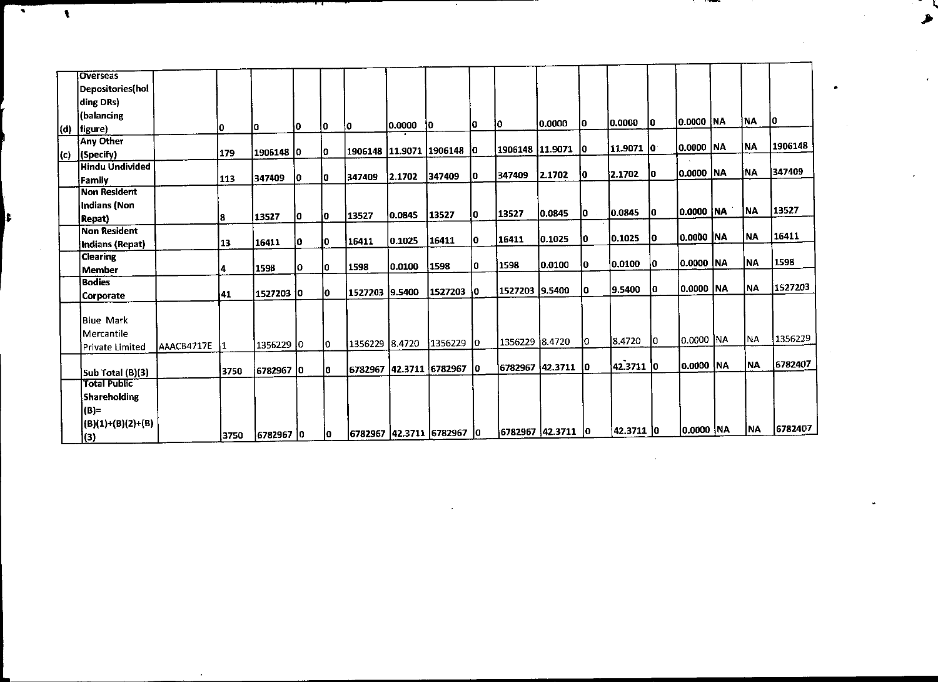| गा<br>$\cdot$<br>$\sim 10^{-11}$<br>$\mathbf{L}$<br><b>Overseas</b><br>Depositories(hol<br>ding DRs)<br>(balancing<br>0.0000 NA<br>0.0000 0<br>lo.<br>0.0000<br>O<br>١o<br>0.0000<br>$ 0\rangle$<br>$ 0\rangle$<br>10<br>١o<br>١o<br>١O<br>$(d)$ figure)<br><b>Any Other</b><br>0.0000 NA<br>11.9071 0<br> 1906148  11.9071  0<br> 1906148  11.9071  1906148  0<br>I٥<br>1906148 0<br>179<br>$(c)$ (Specify)<br><b>Hindu Undivided</b><br>0.0000 NA<br>$ 0\rangle$<br>2.1702<br>$ 0\rangle$<br>2.1702<br>347409<br>347409<br>lo.<br>2.1702<br>347409<br>10<br>347409<br>$ 0\rangle$<br>113<br>Family<br>Non Resident<br>Indians (Non<br>0.0000 NA<br>$ 0\rangle$<br>0.0845<br>0.0845<br>10<br>13527<br>13527<br><b>O</b><br>0.0845<br>13527<br>I٥<br>13527<br>١o.<br>8<br><b>Repat</b><br><b>Non Resident</b><br> 0.0000   NA<br>0.1025<br>łо<br>łо.<br>0.1025<br>16411<br>lo.<br>16411<br>0.1025<br>16411<br>۱o.<br>10<br>16411<br> 13<br>Indians (Repat)<br><b>Clearing</b><br> 0.0000   NA<br> 0.0100 <br>l0.<br>$ 0\rangle$<br>1598<br>0.0100<br>١o<br>1598<br> 0.0100 <br>I٥<br>1598<br>I٥<br>1598<br>ļ4.<br>Member<br><b>Bodies</b><br>0.0000 NA<br>9.5400<br>١o<br>1527203 9.5400<br>$ 0\rangle$<br> 1527203 0<br>1527203 9.5400<br>lo.<br>1527203 0<br>41<br><b>Corporate</b><br><b>Blue Mark</b><br>Mercantile<br>0.0000 NA<br>8.4720<br>Jо<br>1356229 8.4720<br>JО<br>1356229 8.4720 1356229 0<br>1356229 0<br>I٥<br>AAACB4717E 1<br>Private Limited<br>42.3711 0<br>0.0000 NA<br>$6782967$ 42.3711 0<br>6782967 42.3711 6782967 0<br>I٥<br>6782967 0<br>3750<br>Sub Total (B)(3)<br><b>Total Public</b><br>Shareholding<br>$ B =$<br>$ (B)(1)+(B)(2)+(B) $<br>0.0000 NA<br> 42.3711 0<br>6782967 42.3711 0<br> 6782967 42.3711 6782967 0<br>$ 0\rangle$<br>6782967 0<br>3750<br>(3)<br>$\sim$ | NA<br><b>NA</b><br><b>NA</b><br><b>NA</b><br><b>NA</b><br><b>NA</b><br><b>NA</b> |
|----------------------------------------------------------------------------------------------------------------------------------------------------------------------------------------------------------------------------------------------------------------------------------------------------------------------------------------------------------------------------------------------------------------------------------------------------------------------------------------------------------------------------------------------------------------------------------------------------------------------------------------------------------------------------------------------------------------------------------------------------------------------------------------------------------------------------------------------------------------------------------------------------------------------------------------------------------------------------------------------------------------------------------------------------------------------------------------------------------------------------------------------------------------------------------------------------------------------------------------------------------------------------------------------------------------------------------------------------------------------------------------------------------------------------------------------------------------------------------------------------------------------------------------------------------------------------------------------------------------------------------------------------------------------------------------------------------------------------------------------------------------------------------------------------------|----------------------------------------------------------------------------------|
|                                                                                                                                                                                                                                                                                                                                                                                                                                                                                                                                                                                                                                                                                                                                                                                                                                                                                                                                                                                                                                                                                                                                                                                                                                                                                                                                                                                                                                                                                                                                                                                                                                                                                                                                                                                                          |                                                                                  |
|                                                                                                                                                                                                                                                                                                                                                                                                                                                                                                                                                                                                                                                                                                                                                                                                                                                                                                                                                                                                                                                                                                                                                                                                                                                                                                                                                                                                                                                                                                                                                                                                                                                                                                                                                                                                          |                                                                                  |
|                                                                                                                                                                                                                                                                                                                                                                                                                                                                                                                                                                                                                                                                                                                                                                                                                                                                                                                                                                                                                                                                                                                                                                                                                                                                                                                                                                                                                                                                                                                                                                                                                                                                                                                                                                                                          |                                                                                  |
|                                                                                                                                                                                                                                                                                                                                                                                                                                                                                                                                                                                                                                                                                                                                                                                                                                                                                                                                                                                                                                                                                                                                                                                                                                                                                                                                                                                                                                                                                                                                                                                                                                                                                                                                                                                                          |                                                                                  |
|                                                                                                                                                                                                                                                                                                                                                                                                                                                                                                                                                                                                                                                                                                                                                                                                                                                                                                                                                                                                                                                                                                                                                                                                                                                                                                                                                                                                                                                                                                                                                                                                                                                                                                                                                                                                          |                                                                                  |
|                                                                                                                                                                                                                                                                                                                                                                                                                                                                                                                                                                                                                                                                                                                                                                                                                                                                                                                                                                                                                                                                                                                                                                                                                                                                                                                                                                                                                                                                                                                                                                                                                                                                                                                                                                                                          |                                                                                  |
|                                                                                                                                                                                                                                                                                                                                                                                                                                                                                                                                                                                                                                                                                                                                                                                                                                                                                                                                                                                                                                                                                                                                                                                                                                                                                                                                                                                                                                                                                                                                                                                                                                                                                                                                                                                                          | $ 0\rangle$<br>1906148<br>347409<br>13527<br>16411<br>1598<br>1356229            |
|                                                                                                                                                                                                                                                                                                                                                                                                                                                                                                                                                                                                                                                                                                                                                                                                                                                                                                                                                                                                                                                                                                                                                                                                                                                                                                                                                                                                                                                                                                                                                                                                                                                                                                                                                                                                          |                                                                                  |
|                                                                                                                                                                                                                                                                                                                                                                                                                                                                                                                                                                                                                                                                                                                                                                                                                                                                                                                                                                                                                                                                                                                                                                                                                                                                                                                                                                                                                                                                                                                                                                                                                                                                                                                                                                                                          |                                                                                  |
|                                                                                                                                                                                                                                                                                                                                                                                                                                                                                                                                                                                                                                                                                                                                                                                                                                                                                                                                                                                                                                                                                                                                                                                                                                                                                                                                                                                                                                                                                                                                                                                                                                                                                                                                                                                                          |                                                                                  |
|                                                                                                                                                                                                                                                                                                                                                                                                                                                                                                                                                                                                                                                                                                                                                                                                                                                                                                                                                                                                                                                                                                                                                                                                                                                                                                                                                                                                                                                                                                                                                                                                                                                                                                                                                                                                          |                                                                                  |
|                                                                                                                                                                                                                                                                                                                                                                                                                                                                                                                                                                                                                                                                                                                                                                                                                                                                                                                                                                                                                                                                                                                                                                                                                                                                                                                                                                                                                                                                                                                                                                                                                                                                                                                                                                                                          |                                                                                  |
|                                                                                                                                                                                                                                                                                                                                                                                                                                                                                                                                                                                                                                                                                                                                                                                                                                                                                                                                                                                                                                                                                                                                                                                                                                                                                                                                                                                                                                                                                                                                                                                                                                                                                                                                                                                                          |                                                                                  |
|                                                                                                                                                                                                                                                                                                                                                                                                                                                                                                                                                                                                                                                                                                                                                                                                                                                                                                                                                                                                                                                                                                                                                                                                                                                                                                                                                                                                                                                                                                                                                                                                                                                                                                                                                                                                          |                                                                                  |
|                                                                                                                                                                                                                                                                                                                                                                                                                                                                                                                                                                                                                                                                                                                                                                                                                                                                                                                                                                                                                                                                                                                                                                                                                                                                                                                                                                                                                                                                                                                                                                                                                                                                                                                                                                                                          |                                                                                  |
|                                                                                                                                                                                                                                                                                                                                                                                                                                                                                                                                                                                                                                                                                                                                                                                                                                                                                                                                                                                                                                                                                                                                                                                                                                                                                                                                                                                                                                                                                                                                                                                                                                                                                                                                                                                                          |                                                                                  |
|                                                                                                                                                                                                                                                                                                                                                                                                                                                                                                                                                                                                                                                                                                                                                                                                                                                                                                                                                                                                                                                                                                                                                                                                                                                                                                                                                                                                                                                                                                                                                                                                                                                                                                                                                                                                          |                                                                                  |
|                                                                                                                                                                                                                                                                                                                                                                                                                                                                                                                                                                                                                                                                                                                                                                                                                                                                                                                                                                                                                                                                                                                                                                                                                                                                                                                                                                                                                                                                                                                                                                                                                                                                                                                                                                                                          |                                                                                  |
|                                                                                                                                                                                                                                                                                                                                                                                                                                                                                                                                                                                                                                                                                                                                                                                                                                                                                                                                                                                                                                                                                                                                                                                                                                                                                                                                                                                                                                                                                                                                                                                                                                                                                                                                                                                                          |                                                                                  |
|                                                                                                                                                                                                                                                                                                                                                                                                                                                                                                                                                                                                                                                                                                                                                                                                                                                                                                                                                                                                                                                                                                                                                                                                                                                                                                                                                                                                                                                                                                                                                                                                                                                                                                                                                                                                          | <b>NA</b>                                                                        |
|                                                                                                                                                                                                                                                                                                                                                                                                                                                                                                                                                                                                                                                                                                                                                                                                                                                                                                                                                                                                                                                                                                                                                                                                                                                                                                                                                                                                                                                                                                                                                                                                                                                                                                                                                                                                          | 6782407<br><b>NA</b>                                                             |
|                                                                                                                                                                                                                                                                                                                                                                                                                                                                                                                                                                                                                                                                                                                                                                                                                                                                                                                                                                                                                                                                                                                                                                                                                                                                                                                                                                                                                                                                                                                                                                                                                                                                                                                                                                                                          | 6782407<br><b>NA</b>                                                             |
|                                                                                                                                                                                                                                                                                                                                                                                                                                                                                                                                                                                                                                                                                                                                                                                                                                                                                                                                                                                                                                                                                                                                                                                                                                                                                                                                                                                                                                                                                                                                                                                                                                                                                                                                                                                                          |                                                                                  |
|                                                                                                                                                                                                                                                                                                                                                                                                                                                                                                                                                                                                                                                                                                                                                                                                                                                                                                                                                                                                                                                                                                                                                                                                                                                                                                                                                                                                                                                                                                                                                                                                                                                                                                                                                                                                          |                                                                                  |
|                                                                                                                                                                                                                                                                                                                                                                                                                                                                                                                                                                                                                                                                                                                                                                                                                                                                                                                                                                                                                                                                                                                                                                                                                                                                                                                                                                                                                                                                                                                                                                                                                                                                                                                                                                                                          |                                                                                  |
|                                                                                                                                                                                                                                                                                                                                                                                                                                                                                                                                                                                                                                                                                                                                                                                                                                                                                                                                                                                                                                                                                                                                                                                                                                                                                                                                                                                                                                                                                                                                                                                                                                                                                                                                                                                                          |                                                                                  |
|                                                                                                                                                                                                                                                                                                                                                                                                                                                                                                                                                                                                                                                                                                                                                                                                                                                                                                                                                                                                                                                                                                                                                                                                                                                                                                                                                                                                                                                                                                                                                                                                                                                                                                                                                                                                          |                                                                                  |

I